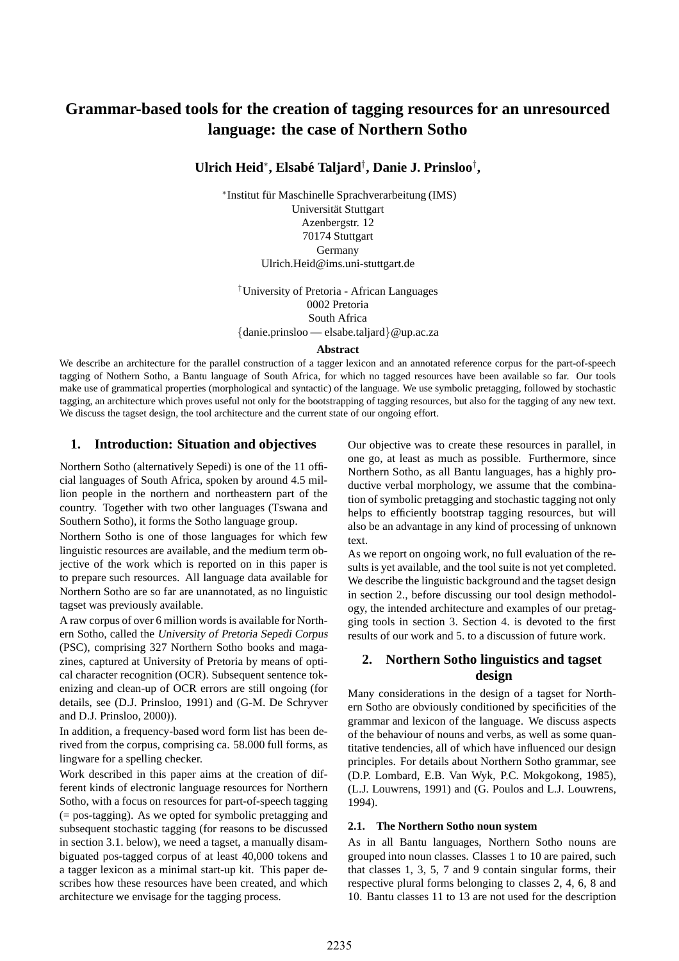# **Grammar-based tools for the creation of tagging resources for an unresourced language: the case of Northern Sotho**

**Ulrich Heid**<sup>∗</sup> **, Elsabe Taljard ´** † **, Danie J. Prinsloo**† **,**

\* Institut für Maschinelle Sprachverarbeitung (IMS) Universität Stuttgart Azenbergstr. 12 70174 Stuttgart Germany Ulrich.Heid@ims.uni-stuttgart.de

†University of Pretoria - African Languages 0002 Pretoria South Africa {danie.prinsloo — elsabe.taljard}@up.ac.za

#### **Abstract**

We describe an architecture for the parallel construction of a tagger lexicon and an annotated reference corpus for the part-of-speech tagging of Nothern Sotho, a Bantu language of South Africa, for which no tagged resources have been available so far. Our tools make use of grammatical properties (morphological and syntactic) of the language. We use symbolic pretagging, followed by stochastic tagging, an architecture which proves useful not only for the bootstrapping of tagging resources, but also for the tagging of any new text. We discuss the tagset design, the tool architecture and the current state of our ongoing effort.

### **1. Introduction: Situation and objectives**

Northern Sotho (alternatively Sepedi) is one of the 11 official languages of South Africa, spoken by around 4.5 million people in the northern and northeastern part of the country. Together with two other languages (Tswana and Southern Sotho), it forms the Sotho language group.

Northern Sotho is one of those languages for which few linguistic resources are available, and the medium term objective of the work which is reported on in this paper is to prepare such resources. All language data available for Northern Sotho are so far are unannotated, as no linguistic tagset was previously available.

A raw corpus of over 6 million words is available for Northern Sotho, called the University of Pretoria Sepedi Corpus (PSC), comprising 327 Northern Sotho books and magazines, captured at University of Pretoria by means of optical character recognition (OCR). Subsequent sentence tokenizing and clean-up of OCR errors are still ongoing (for details, see (D.J. Prinsloo, 1991) and (G-M. De Schryver and D.J. Prinsloo, 2000)).

In addition, a frequency-based word form list has been derived from the corpus, comprising ca. 58.000 full forms, as lingware for a spelling checker.

Work described in this paper aims at the creation of different kinds of electronic language resources for Northern Sotho, with a focus on resources for part-of-speech tagging (= pos-tagging). As we opted for symbolic pretagging and subsequent stochastic tagging (for reasons to be discussed in section 3.1. below), we need a tagset, a manually disambiguated pos-tagged corpus of at least 40,000 tokens and a tagger lexicon as a minimal start-up kit. This paper describes how these resources have been created, and which architecture we envisage for the tagging process.

Our objective was to create these resources in parallel, in one go, at least as much as possible. Furthermore, since Northern Sotho, as all Bantu languages, has a highly productive verbal morphology, we assume that the combination of symbolic pretagging and stochastic tagging not only helps to efficiently bootstrap tagging resources, but will also be an advantage in any kind of processing of unknown text.

As we report on ongoing work, no full evaluation of the results is yet available, and the tool suite is not yet completed. We describe the linguistic background and the tagset design in section 2., before discussing our tool design methodology, the intended architecture and examples of our pretagging tools in section 3. Section 4. is devoted to the first results of our work and 5. to a discussion of future work.

# **2. Northern Sotho linguistics and tagset design**

Many considerations in the design of a tagset for Northern Sotho are obviously conditioned by specificities of the grammar and lexicon of the language. We discuss aspects of the behaviour of nouns and verbs, as well as some quantitative tendencies, all of which have influenced our design principles. For details about Northern Sotho grammar, see (D.P. Lombard, E.B. Van Wyk, P.C. Mokgokong, 1985), (L.J. Louwrens, 1991) and (G. Poulos and L.J. Louwrens, 1994).

#### **2.1. The Northern Sotho noun system**

As in all Bantu languages, Northern Sotho nouns are grouped into noun classes. Classes 1 to 10 are paired, such that classes 1, 3, 5, 7 and 9 contain singular forms, their respective plural forms belonging to classes 2, 4, 6, 8 and 10. Bantu classes 11 to 13 are not used for the description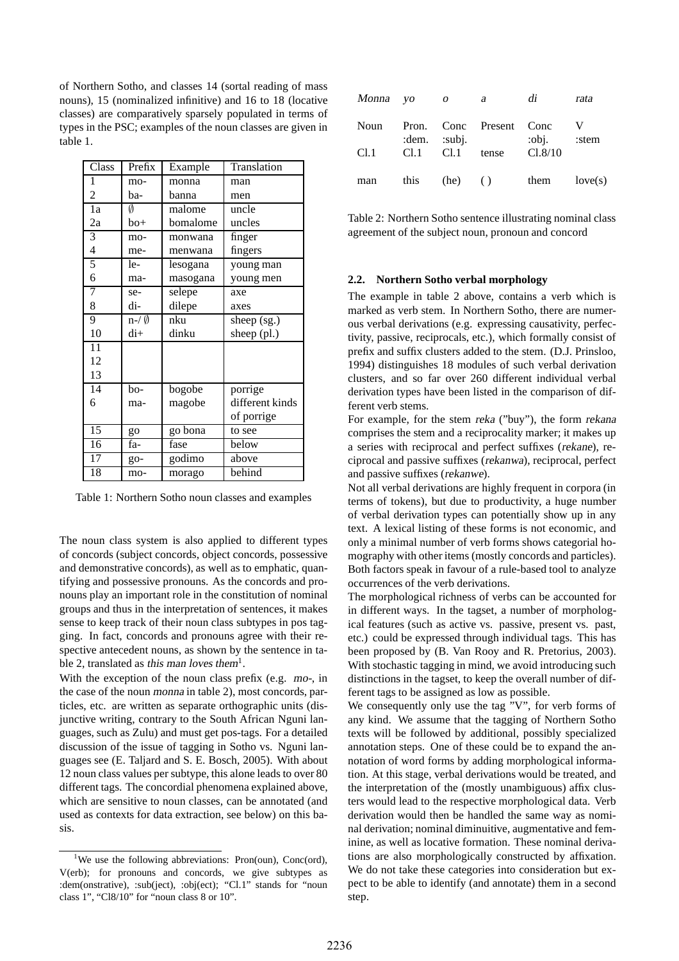of Northern Sotho, and classes 14 (sortal reading of mass nouns), 15 (nominalized infinitive) and 16 to 18 (locative classes) are comparatively sparsely populated in terms of types in the PSC; examples of the noun classes are given in table 1.

| Class           | Prefix             | Example  | Translation     |
|-----------------|--------------------|----------|-----------------|
| 1               | mo-                | monna    | man             |
| $\overline{2}$  | ba-                | banna    | men             |
| 1a              | Ø                  | malome   | uncle           |
| 2a              | bo+                | bomalome | uncles          |
| 3               | mo-                | monwana  | finger          |
| 4               | me-                | menwana  | fingers         |
| 5               | le-                | lesogana | young man       |
| 6               | ma-                | masogana | young men       |
| 7               | se-                | selepe   | axe             |
| 8               | di-                | dilepe   | axes            |
| 9               | $n-\ell \emptyset$ | nku      | sheep $(sg.)$   |
| 10              | di+                | dinku    | sheep (pl.)     |
| 11              |                    |          |                 |
| 12              |                    |          |                 |
| 13              |                    |          |                 |
| 14              | bo-                | bogobe   | porrige         |
| 6               | ma-                | magobe   | different kinds |
|                 |                    |          | of porrige      |
| $\overline{15}$ | go                 | go bona  | to see          |
| 16              | fa-                | fase     | below           |
| 17              | go-                | godimo   | above           |
| 18              | mo-                | morago   | behind          |

Table 1: Northern Sotho noun classes and examples

The noun class system is also applied to different types of concords (subject concords, object concords, possessive and demonstrative concords), as well as to emphatic, quantifying and possessive pronouns. As the concords and pronouns play an important role in the constitution of nominal groups and thus in the interpretation of sentences, it makes sense to keep track of their noun class subtypes in pos tagging. In fact, concords and pronouns agree with their respective antecedent nouns, as shown by the sentence in table 2, translated as this man loves them<sup>1</sup>.

With the exception of the noun class prefix (e.g. mo-, in the case of the noun monna in table 2), most concords, particles, etc. are written as separate orthographic units (disjunctive writing, contrary to the South African Nguni languages, such as Zulu) and must get pos-tags. For a detailed discussion of the issue of tagging in Sotho vs. Nguni languages see (E. Taljard and S. E. Bosch, 2005). With about 12 noun class values per subtype, this alone leads to over 80 different tags. The concordial phenomena explained above, which are sensitive to noun classes, can be annotated (and used as contexts for data extraction, see below) on this basis.

| Monna yo |      | $\overline{O}$  | a                  | di              | rata    |
|----------|------|-----------------|--------------------|-----------------|---------|
| Noun     |      | : $dem.$ :subj. | Pron. Conc Present | – Conc<br>:obj. | :stem   |
| Cl.1     | Cl.1 | Cl.1            | tense              | Cl.8/10         |         |
| man      | this | $(he)$ $()$     |                    | them            | love(s) |

Table 2: Northern Sotho sentence illustrating nominal class agreement of the subject noun, pronoun and concord

#### **2.2. Northern Sotho verbal morphology**

The example in table 2 above, contains a verb which is marked as verb stem. In Northern Sotho, there are numerous verbal derivations (e.g. expressing causativity, perfectivity, passive, reciprocals, etc.), which formally consist of prefix and suffix clusters added to the stem. (D.J. Prinsloo, 1994) distinguishes 18 modules of such verbal derivation clusters, and so far over 260 different individual verbal derivation types have been listed in the comparison of different verb stems.

For example, for the stem reka ("buy"), the form rekana comprises the stem and a reciprocality marker; it makes up a series with reciprocal and perfect suffixes (rekane), reciprocal and passive suffixes (rekanwa), reciprocal, perfect and passive suffixes (rekanwe).

Not all verbal derivations are highly frequent in corpora (in terms of tokens), but due to productivity, a huge number of verbal derivation types can potentially show up in any text. A lexical listing of these forms is not economic, and only a minimal number of verb forms shows categorial homography with other items (mostly concords and particles). Both factors speak in favour of a rule-based tool to analyze occurrences of the verb derivations.

The morphological richness of verbs can be accounted for in different ways. In the tagset, a number of morphological features (such as active vs. passive, present vs. past, etc.) could be expressed through individual tags. This has been proposed by (B. Van Rooy and R. Pretorius, 2003). With stochastic tagging in mind, we avoid introducing such distinctions in the tagset, to keep the overall number of different tags to be assigned as low as possible.

We consequently only use the tag "V", for verb forms of any kind. We assume that the tagging of Northern Sotho texts will be followed by additional, possibly specialized annotation steps. One of these could be to expand the annotation of word forms by adding morphological information. At this stage, verbal derivations would be treated, and the interpretation of the (mostly unambiguous) affix clusters would lead to the respective morphological data. Verb derivation would then be handled the same way as nominal derivation; nominal diminuitive, augmentative and feminine, as well as locative formation. These nominal derivations are also morphologically constructed by affixation. We do not take these categories into consideration but expect to be able to identify (and annotate) them in a second step.

<sup>&</sup>lt;sup>1</sup>We use the following abbreviations: Pron(oun), Conc(ord), V(erb); for pronouns and concords, we give subtypes as :dem(onstrative), :sub(ject), :obj(ect); "Cl.1" stands for "noun class 1", "Cl8/10" for "noun class 8 or 10".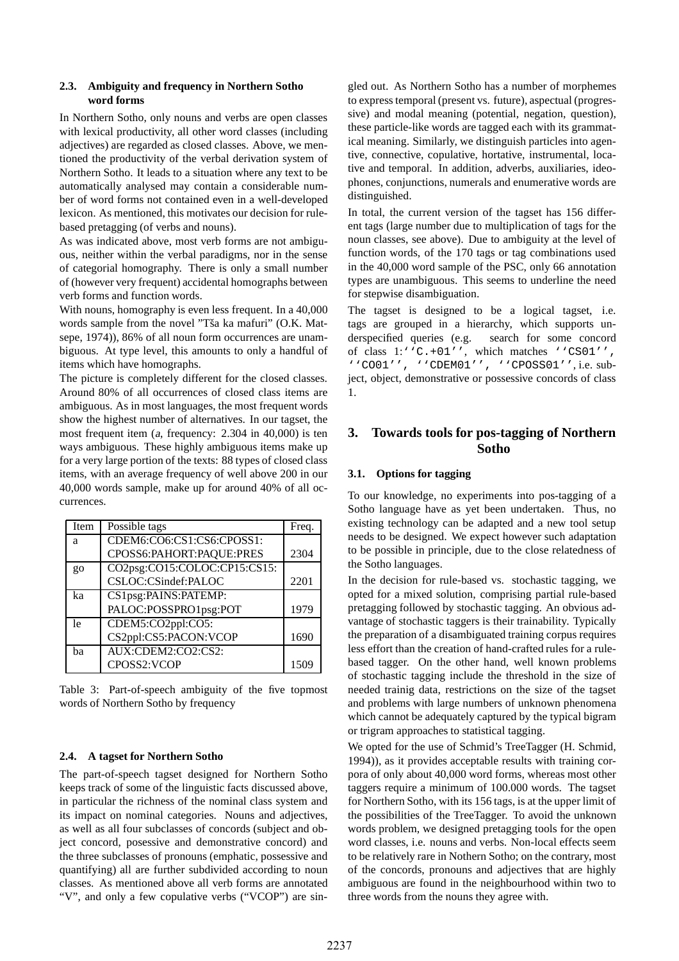#### **2.3. Ambiguity and frequency in Northern Sotho word forms**

In Northern Sotho, only nouns and verbs are open classes with lexical productivity, all other word classes (including adjectives) are regarded as closed classes. Above, we mentioned the productivity of the verbal derivation system of Northern Sotho. It leads to a situation where any text to be automatically analysed may contain a considerable number of word forms not contained even in a well-developed lexicon. As mentioned, this motivates our decision for rulebased pretagging (of verbs and nouns).

As was indicated above, most verb forms are not ambiguous, neither within the verbal paradigms, nor in the sense of categorial homography. There is only a small number of (however very frequent) accidental homographs between verb forms and function words.

With nouns, homography is even less frequent. In a 40,000 words sample from the novel "Tša ka mafuri" (O.K. Matsepe, 1974)), 86% of all noun form occurrences are unambiguous. At type level, this amounts to only a handful of items which have homographs.

The picture is completely different for the closed classes. Around 80% of all occurrences of closed class items are ambiguous. As in most languages, the most frequent words show the highest number of alternatives. In our tagset, the most frequent item (a, frequency: 2.304 in 40,000) is ten ways ambiguous. These highly ambiguous items make up for a very large portion of the texts: 88 types of closed class items, with an average frequency of well above 200 in our 40,000 words sample, make up for around 40% of all occurrences.

| Item    | Possible tags                | Freq. |
|---------|------------------------------|-------|
| a       | CDEM6:CO6:CS1:CS6:CPOSS1:    |       |
|         | CPOSS6:PAHORT:PAQUE:PRES     | 2304  |
| $g_{0}$ | CO2psg:CO15:COLOC:CP15:CS15: |       |
|         | CSLOC:CSindef:PALOC          | 2201  |
| ka      | CS1psg:PAINS:PATEMP:         |       |
|         | PALOC:POSSPRO1psg:POT        | 1979  |
| 1e      | CDEM5:CO2ppl:CO5:            |       |
|         | CS2ppl:CS5:PACON:VCOP        | 1690  |
| ba      | AUX:CDEM2:CO2:CS2:           |       |
|         | CPOSS2:VCOP                  | 1509  |

Table 3: Part-of-speech ambiguity of the five topmost words of Northern Sotho by frequency

#### **2.4. A tagset for Northern Sotho**

The part-of-speech tagset designed for Northern Sotho keeps track of some of the linguistic facts discussed above, in particular the richness of the nominal class system and its impact on nominal categories. Nouns and adjectives, as well as all four subclasses of concords (subject and object concord, posessive and demonstrative concord) and the three subclasses of pronouns (emphatic, possessive and quantifying) all are further subdivided according to noun classes. As mentioned above all verb forms are annotated "V", and only a few copulative verbs ("VCOP") are sin-

gled out. As Northern Sotho has a number of morphemes to express temporal (present vs. future), aspectual (progressive) and modal meaning (potential, negation, question), these particle-like words are tagged each with its grammatical meaning. Similarly, we distinguish particles into agentive, connective, copulative, hortative, instrumental, locative and temporal. In addition, adverbs, auxiliaries, ideophones, conjunctions, numerals and enumerative words are distinguished.

In total, the current version of the tagset has 156 different tags (large number due to multiplication of tags for the noun classes, see above). Due to ambiguity at the level of function words, of the 170 tags or tag combinations used in the 40,000 word sample of the PSC, only 66 annotation types are unambiguous. This seems to underline the need for stepwise disambiguation.

The tagset is designed to be a logical tagset, i.e. tags are grouped in a hierarchy, which supports underspecified queries (e.g. search for some concord of class 1:''C.+01'', which matches ''CS01'', ''CO01'', ''CDEM01'', ''CPOSS01'', i.e. subject, object, demonstrative or possessive concords of class 1.

# **3. Towards tools for pos-tagging of Northern Sotho**

#### **3.1. Options for tagging**

To our knowledge, no experiments into pos-tagging of a Sotho language have as yet been undertaken. Thus, no existing technology can be adapted and a new tool setup needs to be designed. We expect however such adaptation to be possible in principle, due to the close relatedness of the Sotho languages.

In the decision for rule-based vs. stochastic tagging, we opted for a mixed solution, comprising partial rule-based pretagging followed by stochastic tagging. An obvious advantage of stochastic taggers is their trainability. Typically the preparation of a disambiguated training corpus requires less effort than the creation of hand-crafted rules for a rulebased tagger. On the other hand, well known problems of stochastic tagging include the threshold in the size of needed trainig data, restrictions on the size of the tagset and problems with large numbers of unknown phenomena which cannot be adequately captured by the typical bigram or trigram approaches to statistical tagging.

We opted for the use of Schmid's TreeTagger (H. Schmid, 1994)), as it provides acceptable results with training corpora of only about 40,000 word forms, whereas most other taggers require a minimum of 100.000 words. The tagset for Northern Sotho, with its 156 tags, is at the upper limit of the possibilities of the TreeTagger. To avoid the unknown words problem, we designed pretagging tools for the open word classes, i.e. nouns and verbs. Non-local effects seem to be relatively rare in Nothern Sotho; on the contrary, most of the concords, pronouns and adjectives that are highly ambiguous are found in the neighbourhood within two to three words from the nouns they agree with.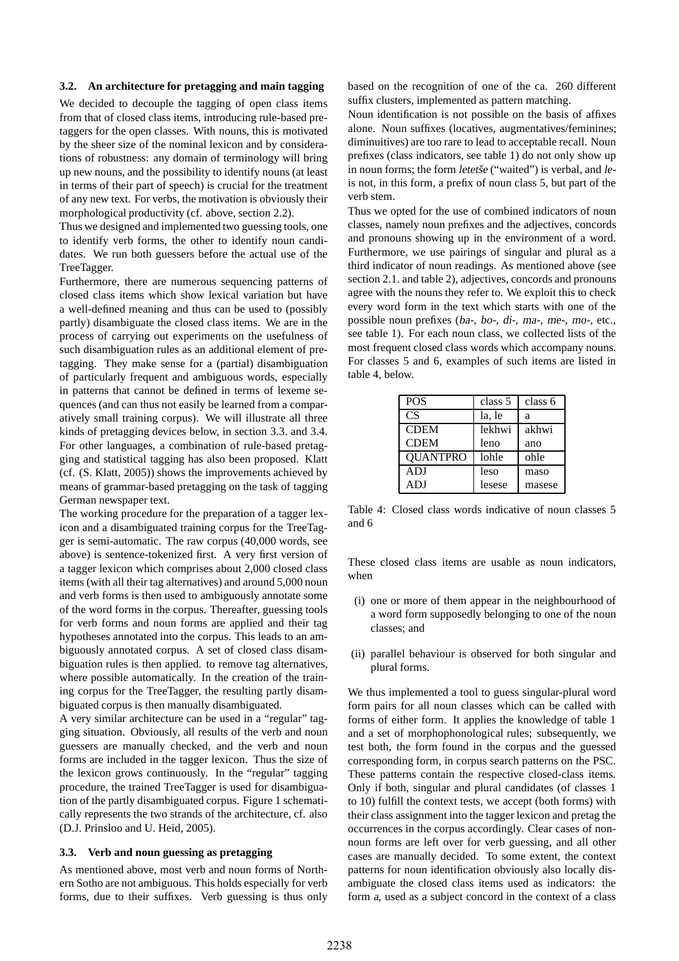#### **3.2. An architecture for pretagging and main tagging**

We decided to decouple the tagging of open class items from that of closed class items, introducing rule-based pretaggers for the open classes. With nouns, this is motivated by the sheer size of the nominal lexicon and by considerations of robustness: any domain of terminology will bring up new nouns, and the possibility to identify nouns (at least in terms of their part of speech) is crucial for the treatment of any new text. For verbs, the motivation is obviously their morphological productivity (cf. above, section 2.2).

Thus we designed and implemented two guessing tools, one to identify verb forms, the other to identify noun candidates. We run both guessers before the actual use of the TreeTagger.

Furthermore, there are numerous sequencing patterns of closed class items which show lexical variation but have a well-defined meaning and thus can be used to (possibly partly) disambiguate the closed class items. We are in the process of carrying out experiments on the usefulness of such disambiguation rules as an additional element of pretagging. They make sense for a (partial) disambiguation of particularly frequent and ambiguous words, especially in patterns that cannot be defined in terms of lexeme sequences (and can thus not easily be learned from a comparatively small training corpus). We will illustrate all three kinds of pretagging devices below, in section 3.3. and 3.4. For other languages, a combination of rule-based pretagging and statistical tagging has also been proposed. Klatt (cf. (S. Klatt, 2005)) shows the improvements achieved by means of grammar-based pretagging on the task of tagging German newspaper text.

The working procedure for the preparation of a tagger lexicon and a disambiguated training corpus for the TreeTagger is semi-automatic. The raw corpus (40,000 words, see above) is sentence-tokenized first. A very first version of a tagger lexicon which comprises about 2,000 closed class items (with all their tag alternatives) and around 5,000 noun and verb forms is then used to ambiguously annotate some of the word forms in the corpus. Thereafter, guessing tools for verb forms and noun forms are applied and their tag hypotheses annotated into the corpus. This leads to an ambiguously annotated corpus. A set of closed class disambiguation rules is then applied. to remove tag alternatives, where possible automatically. In the creation of the training corpus for the TreeTagger, the resulting partly disambiguated corpus is then manually disambiguated.

A very similar architecture can be used in a "regular" tagging situation. Obviously, all results of the verb and noun guessers are manually checked, and the verb and noun forms are included in the tagger lexicon. Thus the size of the lexicon grows continuously. In the "regular" tagging procedure, the trained TreeTagger is used for disambiguation of the partly disambiguated corpus. Figure 1 schematically represents the two strands of the architecture, cf. also (D.J. Prinsloo and U. Heid, 2005).

#### **3.3. Verb and noun guessing as pretagging**

As mentioned above, most verb and noun forms of Northern Sotho are not ambiguous. This holds especially for verb forms, due to their suffixes. Verb guessing is thus only based on the recognition of one of the ca. 260 different suffix clusters, implemented as pattern matching.

Noun identification is not possible on the basis of affixes alone. Noun suffixes (locatives, augmentatives/feminines; diminuitives) are too rare to lead to acceptable recall. Noun prefixes (class indicators, see table 1) do not only show up in noun forms; the form letetše ("waited") is verbal, and leis not, in this form, a prefix of noun class 5, but part of the verb stem.

Thus we opted for the use of combined indicators of noun classes, namely noun prefixes and the adjectives, concords and pronouns showing up in the environment of a word. Furthermore, we use pairings of singular and plural as a third indicator of noun readings. As mentioned above (see section 2.1. and table 2), adjectives, concords and pronouns agree with the nouns they refer to. We exploit this to check every word form in the text which starts with one of the possible noun prefixes (ba-, bo-, di-, ma-, me-, mo-, etc., see table 1). For each noun class, we collected lists of the most frequent closed class words which accompany nouns. For classes 5 and 6, examples of such items are listed in table 4, below.

| <b>POS</b>      | class 5 | class 6 |
|-----------------|---------|---------|
| <b>CS</b>       | la, le  | a       |
| <b>CDEM</b>     | lekhwi  | akhwi   |
| <b>CDEM</b>     | leno    | ano     |
| <b>QUANTPRO</b> | lohle   | ohle    |
| ADJ             | leso    | maso    |
| ADJ             | lesese  | masese  |

Table 4: Closed class words indicative of noun classes 5 and 6

These closed class items are usable as noun indicators, when

- (i) one or more of them appear in the neighbourhood of a word form supposedly belonging to one of the noun classes; and
- (ii) parallel behaviour is observed for both singular and plural forms.

We thus implemented a tool to guess singular-plural word form pairs for all noun classes which can be called with forms of either form. It applies the knowledge of table 1 and a set of morphophonological rules; subsequently, we test both, the form found in the corpus and the guessed corresponding form, in corpus search patterns on the PSC. These patterns contain the respective closed-class items. Only if both, singular and plural candidates (of classes 1 to 10) fulfill the context tests, we accept (both forms) with their class assignment into the tagger lexicon and pretag the occurrences in the corpus accordingly. Clear cases of nonnoun forms are left over for verb guessing, and all other cases are manually decided. To some extent, the context patterns for noun identification obviously also locally disambiguate the closed class items used as indicators: the form <sup>a</sup>, used as a subject concord in the context of a class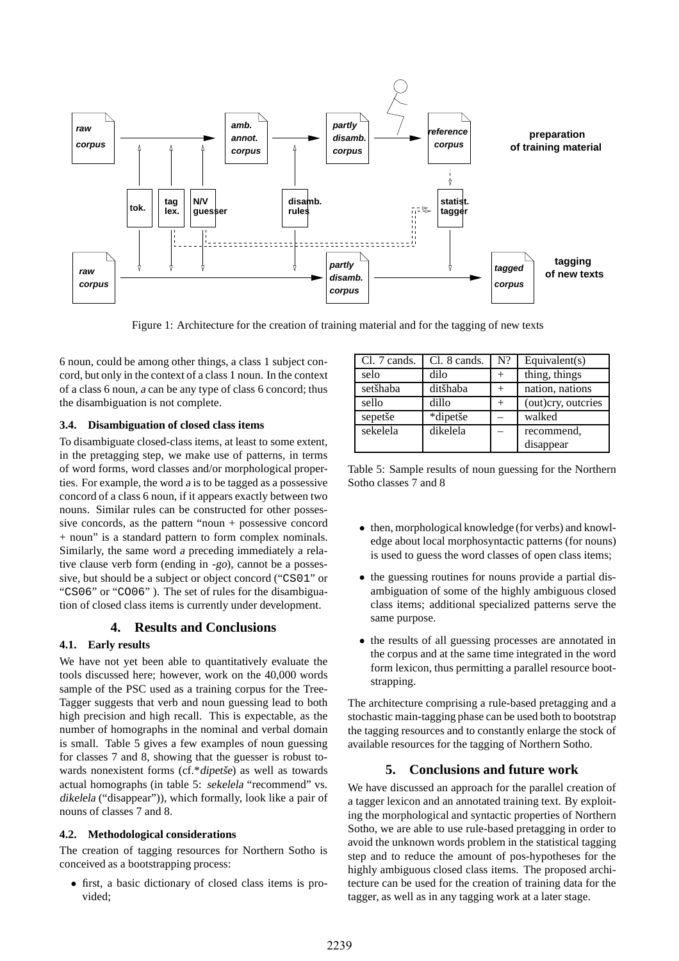

Figure 1: Architecture for the creation of training material and for the tagging of new texts

6 noun, could be among other things, a class 1 subject concord, but only in the context of a class 1 noun. In the context of a class 6 noun, <sup>a</sup> can be any type of class 6 concord; thus the disambiguation is not complete.

#### **3.4. Disambiguation of closed class items**

To disambiguate closed-class items, at least to some extent, in the pretagging step, we make use of patterns, in terms of word forms, word classes and/or morphological properties. For example, the word <sup>a</sup> is to be tagged as a possessive concord of a class 6 noun, if it appears exactly between two nouns. Similar rules can be constructed for other possessive concords, as the pattern "noun + possessive concord + noun" is a standard pattern to form complex nominals. Similarly, the same word <sup>a</sup> preceding immediately a relative clause verb form (ending in -go), cannot be a possessive, but should be a subject or object concord ("CS01" or "CS06" or "CO06" ). The set of rules for the disambiguation of closed class items is currently under development.

#### **4. Results and Conclusions**

#### **4.1. Early results**

We have not yet been able to quantitatively evaluate the tools discussed here; however, work on the 40,000 words sample of the PSC used as a training corpus for the Tree-Tagger suggests that verb and noun guessing lead to both high precision and high recall. This is expectable, as the number of homographs in the nominal and verbal domain is small. Table 5 gives a few examples of noun guessing for classes 7 and 8, showing that the guesser is robust towards nonexistent forms (cf.\*dipetše) as well as towards actual homographs (in table 5: sekelela "recommend" vs. dikelela ("disappear")), which formally, look like a pair of nouns of classes 7 and 8.

#### **4.2. Methodological considerations**

The creation of tagging resources for Northern Sotho is conceived as a bootstrapping process:

• first, a basic dictionary of closed class items is provided;

| Cl. 7 cands. | Cl. 8 cands. | $N$ ?  | Equivalent $(s)$   |
|--------------|--------------|--------|--------------------|
| selo         | dilo         | $^+$   | thing, things      |
| setšhaba     | ditšhaba     | $^{+}$ | nation, nations    |
| sello        | dillo        |        | (out)cry, outcries |
| sepetše      | *dipetše     |        | walked             |
| sekelela     | dikelela     |        | recommend,         |
|              |              |        | disappear          |

Table 5: Sample results of noun guessing for the Northern Sotho classes 7 and 8

- then, morphological knowledge (for verbs) and knowledge about local morphosyntactic patterns (for nouns) is used to guess the word classes of open class items;
- the guessing routines for nouns provide a partial disambiguation of some of the highly ambiguous closed class items; additional specialized patterns serve the same purpose.
- the results of all guessing processes are annotated in the corpus and at the same time integrated in the word form lexicon, thus permitting a parallel resource bootstrapping.

The architecture comprising a rule-based pretagging and a stochastic main-tagging phase can be used both to bootstrap the tagging resources and to constantly enlarge the stock of available resources for the tagging of Northern Sotho.

## **5. Conclusions and future work**

We have discussed an approach for the parallel creation of a tagger lexicon and an annotated training text. By exploiting the morphological and syntactic properties of Northern Sotho, we are able to use rule-based pretagging in order to avoid the unknown words problem in the statistical tagging step and to reduce the amount of pos-hypotheses for the highly ambiguous closed class items. The proposed architecture can be used for the creation of training data for the tagger, as well as in any tagging work at a later stage.